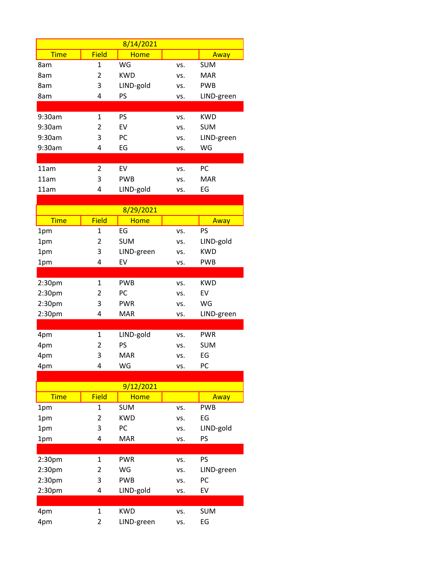|                    |                | 8/14/2021   |     |            |
|--------------------|----------------|-------------|-----|------------|
| <b>Time</b>        | <b>Field</b>   | <b>Home</b> |     | Away       |
| 8am                | 1              | WG          | VS. | <b>SUM</b> |
| 8am                | 2              | <b>KWD</b>  | vs. | <b>MAR</b> |
| 8am                | 3              | LIND-gold   | vs. | <b>PWB</b> |
| 8am                | 4              | PS          | vs. | LIND-green |
|                    |                |             |     |            |
| 9:30am             | $\mathbf{1}$   | <b>PS</b>   | VS. | <b>KWD</b> |
| 9:30am             | 2              | EV          | vs. | <b>SUM</b> |
| 9:30am             | 3              | PC          | vs. | LIND-green |
| 9:30am             | 4              | EG          | vs. | WG         |
|                    |                |             |     |            |
| 11am               | $\overline{2}$ | EV          | VS. | PC         |
| 11am               | 3              | <b>PWB</b>  | vs. | <b>MAR</b> |
| 11am               | 4              | LIND-gold   | vs. | EG         |
|                    |                |             |     |            |
|                    |                | 8/29/2021   |     |            |
| <b>Time</b>        | <b>Field</b>   | <b>Home</b> |     | Away       |
| 1pm                | 1              | EG          | VS. | PS         |
| 1pm                | 2              | <b>SUM</b>  | vs. | LIND-gold  |
| 1pm                | 3              | LIND-green  | VS. | <b>KWD</b> |
| 1pm                | 4              | EV          | vs. | <b>PWB</b> |
|                    |                |             |     |            |
| 2:30 <sub>pm</sub> | $\mathbf{1}$   | <b>PWB</b>  | VS. | <b>KWD</b> |
| 2:30 <sub>pm</sub> | 2              | PC          | vs. | EV         |
| 2:30 <sub>pm</sub> | 3<br>4         | <b>PWR</b>  | VS. | WG         |
| 2:30pm             |                | <b>MAR</b>  | vs. | LIND-green |
| 4pm                | $\mathbf{1}$   | LIND-gold   | VS. | <b>PWR</b> |
| 4pm                | 2              | PS          | vs. | <b>SUM</b> |
| 4pm                | 3              | <b>MAR</b>  | VS. | EG         |
| 4pm                | 4              | WG          | VS. | PC         |
|                    |                |             |     |            |
|                    |                | 9/12/2021   |     |            |
| <b>Time</b>        | <b>Field</b>   | <b>Home</b> |     | Away       |
| 1pm                | 1              | <b>SUM</b>  | VS. | <b>PWB</b> |
| 1pm                | 2              | <b>KWD</b>  | VS. | EG         |
| 1pm                | 3              | PC          | VS. | LIND-gold  |
| 1pm                | 4              | <b>MAR</b>  | VS. | PS         |
|                    |                |             |     |            |
| 2:30pm             | $\mathbf{1}$   | <b>PWR</b>  | VS. | PS         |
| 2:30pm             | 2              | WG          | VS. | LIND-green |
| 2:30pm             | 3              | <b>PWB</b>  | VS. | PC         |

2:30pm 4 LIND-gold vs. EV

4pm 1 KWD vs. SUM 4pm 2 LIND-green vs. EG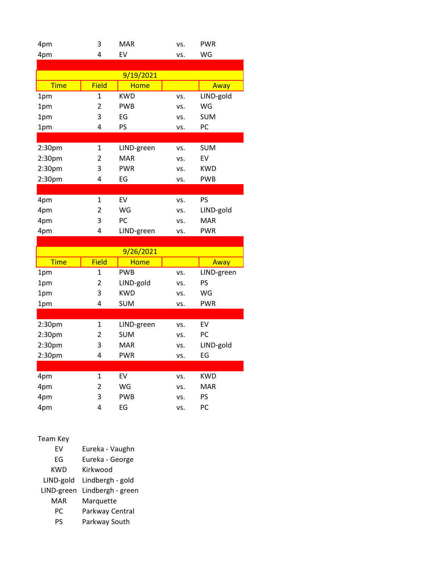| 4pm         | 3              | <b>MAR</b>  | VS. | <b>PWR</b> |
|-------------|----------------|-------------|-----|------------|
| 4pm         | 4              | EV          | VS. | WG         |
|             |                |             |     |            |
|             |                | 9/19/2021   |     |            |
| <b>Time</b> | <b>Field</b>   | <b>Home</b> |     | Away       |
| 1pm         | $\mathbf{1}$   | <b>KWD</b>  | VS. | LIND-gold  |
| 1pm         | 2              | <b>PWB</b>  | VS. | WG         |
| 1pm         | 3              | EG          | VS. | <b>SUM</b> |
| 1pm         | 4              | PS          | VS. | PC         |
|             |                |             |     |            |
| 2:30pm      | $\mathbf{1}$   | LIND-green  | VS. | <b>SUM</b> |
| 2:30pm      | 2              | <b>MAR</b>  | VS. | EV         |
| 2:30pm      | 3              | <b>PWR</b>  | VS. | <b>KWD</b> |
| 2:30pm      | 4              | EG          | VS. | <b>PWB</b> |
|             |                |             |     |            |
| 4pm         | $\mathbf{1}$   | EV          | VS. | <b>PS</b>  |
| 4pm         | $\overline{2}$ | WG          | VS. | LIND-gold  |
| 4pm         | 3              | PC          | VS. | <b>MAR</b> |
| 4pm         | 4              | LIND-green  | VS. | <b>PWR</b> |
|             |                |             |     |            |
|             |                | 9/26/2021   |     |            |
| <b>Time</b> | <b>Field</b>   | <b>Home</b> |     | Away       |
|             |                |             |     |            |
| 1pm         | 1              | <b>PWB</b>  | VS. | LIND-green |
| 1pm         | 2              | LIND-gold   | VS. | PS         |
| 1pm         | 3              | <b>KWD</b>  | vs. | WG         |
| 1pm         | 4              | <b>SUM</b>  | VS. | <b>PWR</b> |
|             |                |             |     |            |
| 2:30pm      | $\mathbf{1}$   | LIND-green  | VS. | EV         |
| 2:30pm      | 2              | <b>SUM</b>  | VS. | PC         |
| 2:30pm      | 3              | <b>MAR</b>  | VS. | LIND-gold  |
| 2:30pm      | 4              | <b>PWR</b>  | VS. | EG         |
|             |                |             |     |            |
| 4pm         | $\mathbf{1}$   | EV          | VS. | <b>KWD</b> |
| 4pm         | 2              | WG          | VS. | <b>MAR</b> |
| 4pm         | 3              | <b>PWB</b>  | VS. | PS         |
| 4pm         | 4              | EG          | VS. | PC         |
|             |                |             |     |            |

| Team Key   |                   |
|------------|-------------------|
| FV         | Eureka - Vaughn   |
| FG         | Eureka - George   |
| KWD        | Kirkwood          |
| LIND-gold  | Lindbergh - gold  |
| LIND-green | Lindbergh - green |
| MAR        | Marquette         |
| РC         | Parkway Central   |
| PS         | Parkway South     |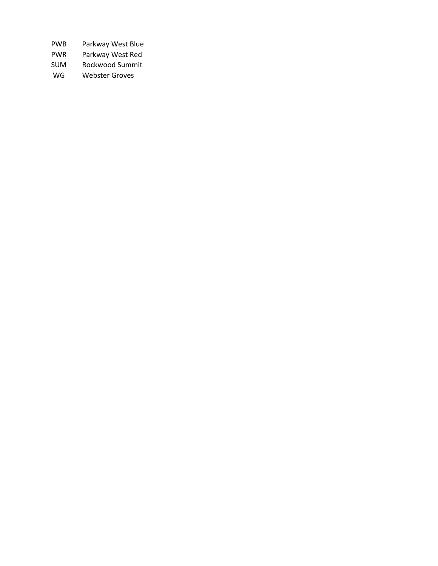- PWB Parkway West Blue
- PWR Parkway West Red
- SUM Rockwood Summit
- WG Webster Groves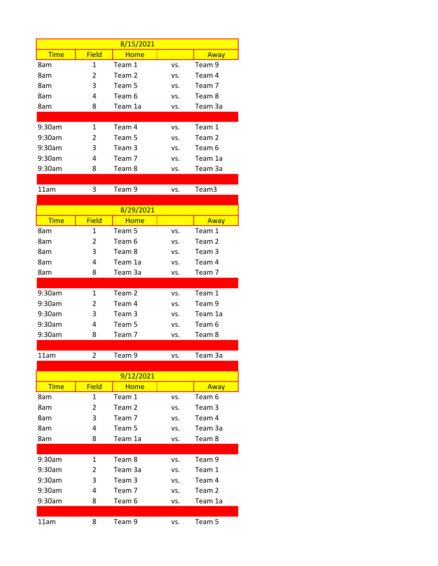| 8/15/2021    |             |     |         |  |
|--------------|-------------|-----|---------|--|
| <b>Field</b> | <b>Home</b> |     | Away    |  |
| 1            | Team 1      | VS. | Team 9  |  |
| 2            | Team 2      | VS. | Team 4  |  |
| 3            | Team 5      | VS. | Team 7  |  |
| 4            | Team 6      | VS. | Team 8  |  |
| 8            | Team 1a     | VS. | Team 3a |  |
|              |             |     |         |  |
| 1            | Team 4      | VS. | Team 1  |  |
| 2            | Team 5      | VS. | Team 2  |  |
| 3            | Team 3      | VS. | Team 6  |  |
| 4            | Team 7      | VS. | Team 1a |  |
| 8            | Team 8      | VS. | Team 3a |  |
|              |             |     |         |  |

11am 3 Team 9 vs. Team 3

| 8/29/2021   |              |         |     |         |  |
|-------------|--------------|---------|-----|---------|--|
| <b>Time</b> | <b>Field</b> | Home    |     | Away    |  |
| 8am         | 1            | Team 5  | VS. | Team 1  |  |
| 8am         | 2            | Team 6  | VS. | Team 2  |  |
| 8am         | 3            | Team 8  | VS. | Team 3  |  |
| 8am         | 4            | Team 1a | VS. | Team 4  |  |
| 8am         | 8            | Team 3a | vs. | Team 7  |  |
|             |              |         |     |         |  |
| 9:30am      | $\mathbf{1}$ | Team 2  | VS. | Team 1  |  |
| 9:30am      | 2            | Team 4  | VS. | Team 9  |  |
| $9:30$ am   | 3            | Team 3  | VS. | Team 1a |  |
| 9:30am      | 4            | Team 5  | VS. | Team 6  |  |
| 9:30am      | 8            | Team 7  | vs. | Team 8  |  |
|             |              |         |     |         |  |

11am 2 Team 9 vs. Team 3a

| 9/12/2021   |              |             |     |         |  |
|-------------|--------------|-------------|-----|---------|--|
| <b>Time</b> | <b>Field</b> | <b>Home</b> |     | Away    |  |
| 8am         | 1            | Team 1      | VS. | Team 6  |  |
| 8am         | 2            | Team 2      | VS. | Team 3  |  |
| 8am         | 3            | Team 7      | VS. | Team 4  |  |
| 8am         | 4            | Team 5      | VS. | Team 3a |  |
| 8am         | 8            | Team 1a     | VS. | Team 8  |  |
|             |              |             |     |         |  |
| 9:30am      | 1            | Team 8      | VS. | Team 9  |  |
| 9:30am      | 2            | Team 3a     | VS. | Team 1  |  |
| $9:30$ am   | 3            | Team 3      | VS. | Team 4  |  |
| 9:30am      | 4            | Team 7      | VS. | Team 2  |  |
| 9:30am      | 8            | Team 6      | VS. | Team 1a |  |
|             |              |             |     |         |  |
| 11am        | 8            | Team 9      | VS. | Team 5  |  |